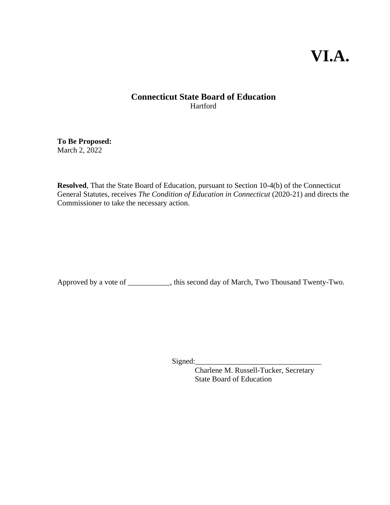# **VI.A.**

#### **Connecticut State Board of Education** Hartford

**To Be Proposed:** March 2, 2022

**Resolved**, That the State Board of Education, pursuant to Section 10-4(b) of the Connecticut General Statutes, receives *The Condition of Education in Connecticut* (2020-21) and directs the Commissioner to take the necessary action.

Approved by a vote of \_\_\_\_\_\_\_\_\_\_\_, this second day of March, Two Thousand Twenty-Two.

Signed:

Charlene M. Russell-Tucker, Secretary State Board of Education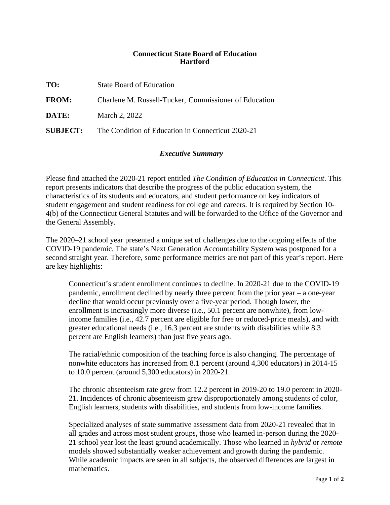#### **Connecticut State Board of Education Hartford**

**TO:** State Board of Education **FROM:** Charlene M. Russell-Tucker, Commissioner of Education **DATE:** March 2, 2022

**SUBJECT:** The Condition of Education in Connecticut 2020-21

#### *Executive Summary*

Please find attached the 2020-21 report entitled *The Condition of Education in Connecticut*. This report presents indicators that describe the progress of the public education system, the characteristics of its students and educators, and student performance on key indicators of student engagement and student readiness for college and careers. It is required by Section 10- 4(b) of the Connecticut General Statutes and will be forwarded to the Office of the Governor and the General Assembly.

The 2020–21 school year presented a unique set of challenges due to the ongoing effects of the COVID-19 pandemic. The state's Next Generation Accountability System was postponed for a second straight year. Therefore, some performance metrics are not part of this year's report. Here are key highlights:

Connecticut's student enrollment continues to decline. In 2020-21 due to the COVID-19 pandemic, enrollment declined by nearly three percent from the prior year – a one-year decline that would occur previously over a five-year period. Though lower, the enrollment is increasingly more diverse (i.e., 50.1 percent are nonwhite), from lowincome families (i.e., 42.7 percent are eligible for free or reduced-price meals), and with greater educational needs (i.e., 16.3 percent are students with disabilities while 8.3 percent are English learners) than just five years ago.

The racial/ethnic composition of the teaching force is also changing. The percentage of nonwhite educators has increased from 8.1 percent (around 4,300 educators) in 2014-15 to 10.0 percent (around 5,300 educators) in 2020-21.

The chronic absenteeism rate grew from 12.2 percent in 2019-20 to 19.0 percent in 2020- 21. Incidences of chronic absenteeism grew disproportionately among students of color, English learners, students with disabilities, and students from low-income families.

Specialized analyses of state summative assessment data from 2020-21 revealed that in all grades and across most student groups, those who learned in-person during the 2020- 21 school year lost the least ground academically. Those who learned in *hybrid* or *remote* models showed substantially weaker achievement and growth during the pandemic. While academic impacts are seen in all subjects, the observed differences are largest in mathematics.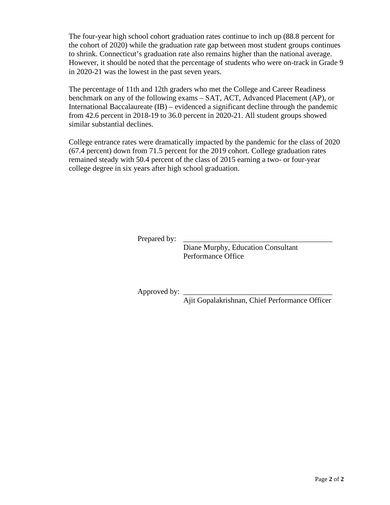The four-year high school cohort graduation rates continue to inch up (88.8 percent for the cohort of 2020) while the graduation rate gap between most student groups continues to shrink. Connecticut's graduation rate also remains higher than the national average. However, it should be noted that the percentage of students who were on-track in Grade 9 in 2020-21 was the lowest in the past seven years.

The percentage of 11th and 12th graders who met the College and Career Readiness benchmark on any of the following exams – SAT, ACT, Advanced Placement (AP), or International Baccalaureate (IB) – evidenced a significant decline through the pandemic from 42.6 percent in 2018-19 to 36.0 percent in 2020-21. All student groups showed similar substantial declines.

College entrance rates were dramatically impacted by the pandemic for the class of 2020 (67.4 percent) down from 71.5 percent for the 2019 cohort. College graduation rates remained steady with 50.4 percent of the class of 2015 earning a two- or four-year college degree in six years after high school graduation.

Prepared by:

Diane Murphy, Education Consultant Performance Office

Approved by:

Ajit Gopalakrishnan, Chief Performance Officer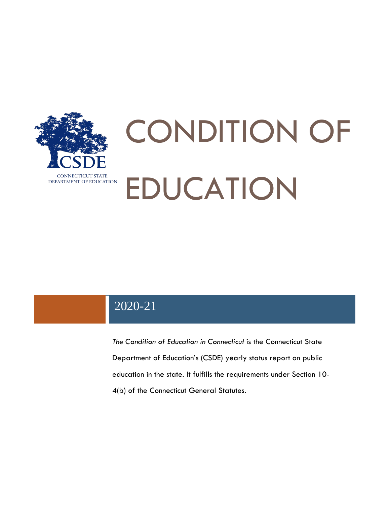

# CONDITION OF EDUCATION

## 2020-21

*The Condition of Education in Connecticut* is the Connecticut State Department of Education's (CSDE) yearly status report on public education in the state. It fulfills the requirements under Section 10- 4(b) of the Connecticut General Statutes.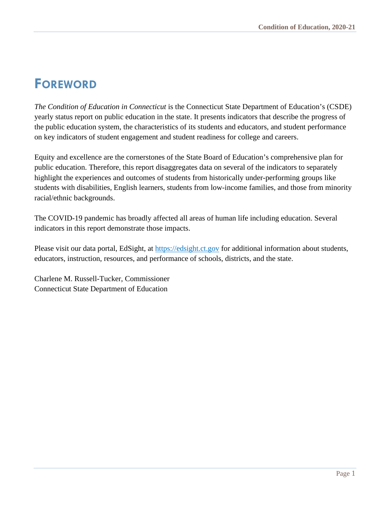## <span id="page-4-0"></span>**FOREWORD**

*The Condition of Education in Connecticut* is the Connecticut State Department of Education's (CSDE) yearly status report on public education in the state. It presents indicators that describe the progress of the public education system, the characteristics of its students and educators, and student performance on key indicators of student engagement and student readiness for college and careers.

Equity and excellence are the cornerstones of the State Board of Education's comprehensive plan for public education. Therefore, this report disaggregates data on several of the indicators to separately highlight the experiences and outcomes of students from historically under-performing groups like students with disabilities, English learners, students from low-income families, and those from minority racial/ethnic backgrounds.

The COVID-19 pandemic has broadly affected all areas of human life including education. Several indicators in this report demonstrate those impacts.

Please visit our data portal, EdSight, at [https://edsight.ct.gov](https://edsight.ct.gov/) for additional information about students, educators, instruction, resources, and performance of schools, districts, and the state.

Charlene M. Russell-Tucker, Commissioner Connecticut State Department of Education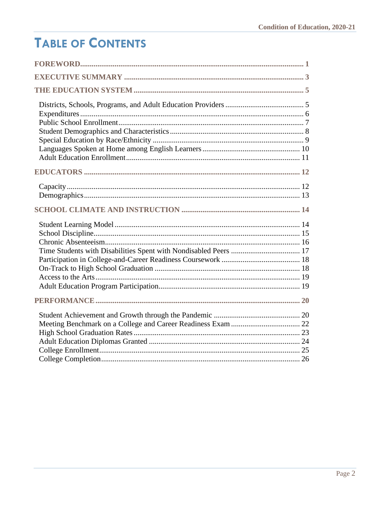# **TABLE OF CONTENTS**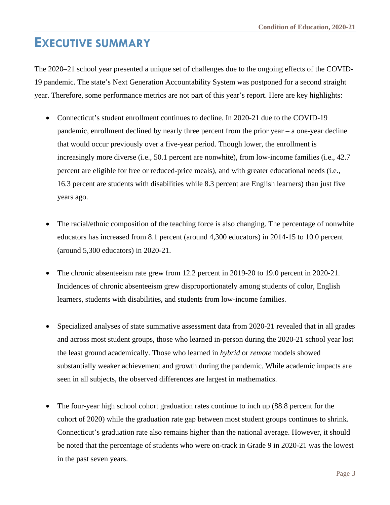## <span id="page-6-0"></span>**EXECUTIVE SUMMARY**

The 2020–21 school year presented a unique set of challenges due to the ongoing effects of the COVID-19 pandemic. The state's Next Generation Accountability System was postponed for a second straight year. Therefore, some performance metrics are not part of this year's report. Here are key highlights:

- Connecticut's student enrollment continues to decline. In 2020-21 due to the COVID-19 pandemic, enrollment declined by nearly three percent from the prior year – a one-year decline that would occur previously over a five-year period. Though lower, the enrollment is increasingly more diverse (i.e., 50.1 percent are nonwhite), from low-income families (i.e., 42.7 percent are eligible for free or reduced-price meals), and with greater educational needs (i.e., 16.3 percent are students with disabilities while 8.3 percent are English learners) than just five years ago.
- The racial/ethnic composition of the teaching force is also changing. The percentage of nonwhite educators has increased from 8.1 percent (around 4,300 educators) in 2014-15 to 10.0 percent (around 5,300 educators) in 2020-21.
- The chronic absenteeism rate grew from 12.2 percent in 2019-20 to 19.0 percent in 2020-21. Incidences of chronic absenteeism grew disproportionately among students of color, English learners, students with disabilities, and students from low-income families.
- Specialized analyses of state summative assessment data from 2020-21 revealed that in all grades and across most student groups, those who learned in-person during the 2020-21 school year lost the least ground academically. Those who learned in *hybrid* or *remote* models showed substantially weaker achievement and growth during the pandemic. While academic impacts are seen in all subjects, the observed differences are largest in mathematics.
- The four-year high school cohort graduation rates continue to inch up (88.8 percent for the cohort of 2020) while the graduation rate gap between most student groups continues to shrink. Connecticut's graduation rate also remains higher than the national average. However, it should be noted that the percentage of students who were on-track in Grade 9 in 2020-21 was the lowest in the past seven years.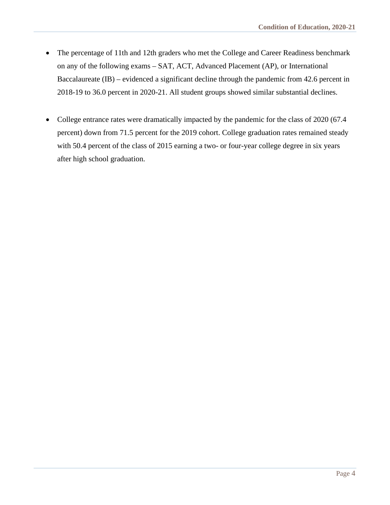- The percentage of 11th and 12th graders who met the College and Career Readiness benchmark on any of the following exams – SAT, ACT, Advanced Placement (AP), or International Baccalaureate (IB) – evidenced a significant decline through the pandemic from 42.6 percent in 2018-19 to 36.0 percent in 2020-21. All student groups showed similar substantial declines.
- College entrance rates were dramatically impacted by the pandemic for the class of 2020 (67.4 percent) down from 71.5 percent for the 2019 cohort. College graduation rates remained steady with 50.4 percent of the class of 2015 earning a two- or four-year college degree in six years after high school graduation.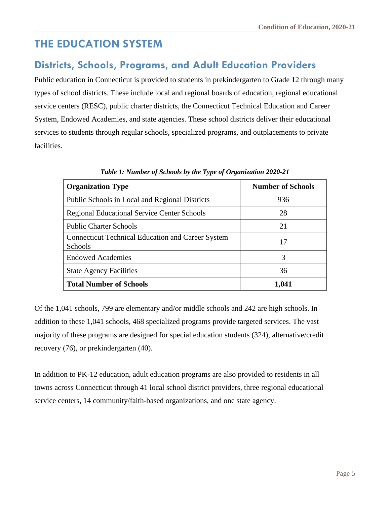## <span id="page-8-0"></span>**THE EDUCATION SYSTEM**

#### <span id="page-8-1"></span>**Districts, Schools, Programs, and Adult Education Providers**

Public education in Connecticut is provided to students in prekindergarten to Grade 12 through many types of school districts. These include local and regional boards of education, regional educational service centers (RESC), public charter districts, the Connecticut Technical Education and Career System, Endowed Academies, and state agencies. These school districts deliver their educational services to students through regular schools, specialized programs, and outplacements to private facilities.

| <b>Organization Type</b>                                                   | <b>Number of Schools</b> |
|----------------------------------------------------------------------------|--------------------------|
| Public Schools in Local and Regional Districts                             | 936                      |
| <b>Regional Educational Service Center Schools</b>                         | 28                       |
| <b>Public Charter Schools</b>                                              | 21                       |
| <b>Connecticut Technical Education and Career System</b><br><b>Schools</b> | 17                       |
| <b>Endowed Academies</b>                                                   | 3                        |
| <b>State Agency Facilities</b>                                             | 36                       |
| <b>Total Number of Schools</b>                                             | 1,041                    |

*Table 1: Number of Schools by the Type of Organization 2020-21*

Of the 1,041 schools, 799 are elementary and/or middle schools and 242 are high schools. In addition to these 1,041 schools, 468 specialized programs provide targeted services. The vast majority of these programs are designed for special education students (324), alternative/credit recovery (76), or prekindergarten (40).

In addition to PK-12 education, adult education programs are also provided to residents in all towns across Connecticut through 41 local school district providers, three regional educational service centers, 14 community/faith-based organizations, and one state agency.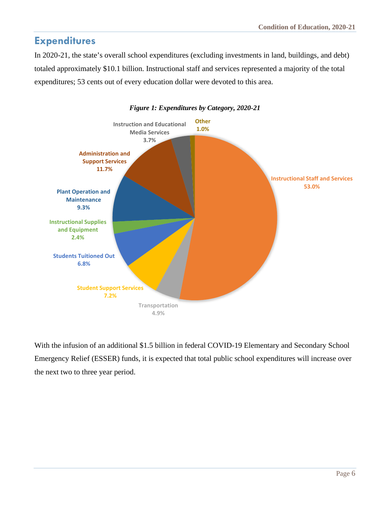#### <span id="page-9-0"></span>**Expenditures**

In 2020-21, the state's overall school expenditures (excluding investments in land, buildings, and debt) totaled approximately \$10.1 billion. Instructional staff and services represented a majority of the total expenditures; 53 cents out of every education dollar were devoted to this area.



#### *Figure 1: Expenditures by Category, 2020-21*

With the infusion of an additional \$1.5 billion in federal COVID-19 Elementary and Secondary School Emergency Relief (ESSER) funds, it is expected that total public school expenditures will increase over the next two to three year period.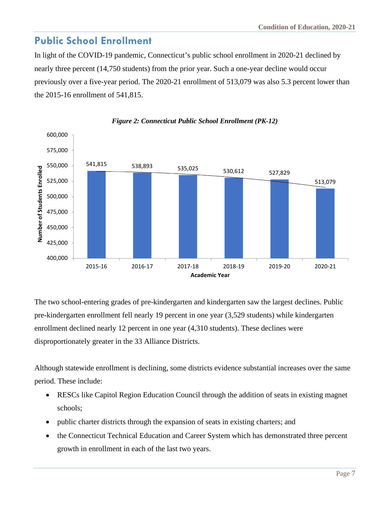#### <span id="page-10-0"></span>**Public School Enrollment**

In light of the COVID-19 pandemic, Connecticut's public school enrollment in 2020-21 declined by nearly three percent (14,750 students) from the prior year. Such a one-year decline would occur previously over a five-year period. The 2020-21 enrollment of 513,079 was also 5.3 percent lower than the 2015-16 enrollment of 541,815.



#### *Figure 2: Connecticut Public School Enrollment (PK-12)*

The two school-entering grades of pre-kindergarten and kindergarten saw the largest declines. Public pre-kindergarten enrollment fell nearly 19 percent in one year (3,529 students) while kindergarten enrollment declined nearly 12 percent in one year (4,310 students). These declines were disproportionately greater in the 33 Alliance Districts.

Although statewide enrollment is declining, some districts evidence substantial increases over the same period. These include:

- RESCs like Capitol Region Education Council through the addition of seats in existing magnet schools;
- public charter districts through the expansion of seats in existing charters; and
- the Connecticut Technical Education and Career System which has demonstrated three percent growth in enrollment in each of the last two years.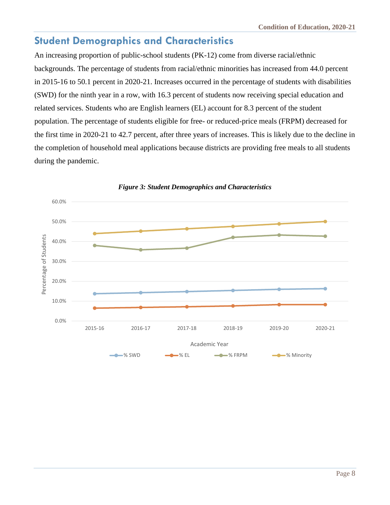### <span id="page-11-0"></span>**Student Demographics and Characteristics**

An increasing proportion of public-school students (PK-12) come from diverse racial/ethnic backgrounds. The percentage of students from racial/ethnic minorities has increased from 44.0 percent in 2015-16 to 50.1 percent in 2020-21. Increases occurred in the percentage of students with disabilities (SWD) for the ninth year in a row, with 16.3 percent of students now receiving special education and related services. Students who are English learners (EL) account for 8.3 percent of the student population. The percentage of students eligible for free- or reduced-price meals (FRPM) decreased for the first time in 2020-21 to 42.7 percent, after three years of increases. This is likely due to the decline in the completion of household meal applications because districts are providing free meals to all students during the pandemic.



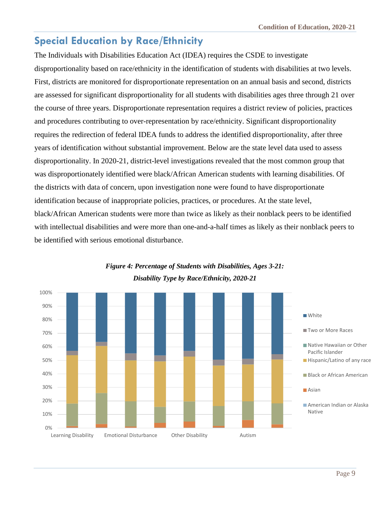## <span id="page-12-0"></span>**Special Education by Race/Ethnicity**

The Individuals with Disabilities Education Act (IDEA) requires the CSDE to investigate disproportionality based on race/ethnicity in the identification of students with disabilities at two levels. First, districts are monitored for disproportionate representation on an annual basis and second, districts are assessed for significant disproportionality for all students with disabilities ages three through 21 over the course of three years. Disproportionate representation requires a district review of policies, practices and procedures contributing to over-representation by race/ethnicity. Significant disproportionality requires the redirection of federal IDEA funds to address the identified disproportionality, after three years of identification without substantial improvement. Below are the state level data used to assess disproportionality. In 2020-21, district-level investigations revealed that the most common group that was disproportionately identified were black/African American students with learning disabilities. Of the districts with data of concern, upon investigation none were found to have disproportionate identification because of inappropriate policies, practices, or procedures. At the state level, black/African American students were more than twice as likely as their nonblack peers to be identified with intellectual disabilities and were more than one-and-a-half times as likely as their nonblack peers to be identified with serious emotional disturbance.



#### *Figure 4: Percentage of Students with Disabilities, Ages 3-21: Disability Type by Race/Ethnicity, 2020-21*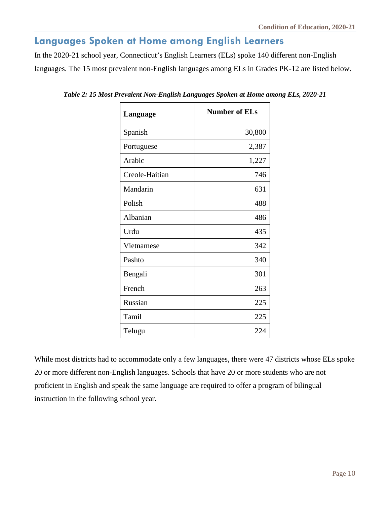#### <span id="page-13-0"></span>**Languages Spoken at Home among English Learners**

In the 2020-21 school year, Connecticut's English Learners (ELs) spoke 140 different non-English languages. The 15 most prevalent non-English languages among ELs in Grades PK-12 are listed below.

| Language       | <b>Number of ELs</b> |  |
|----------------|----------------------|--|
| Spanish        | 30,800               |  |
| Portuguese     | 2,387                |  |
| Arabic         | 1,227                |  |
| Creole-Haitian | 746                  |  |
| Mandarin       | 631                  |  |
| Polish         | 488                  |  |
| Albanian       | 486                  |  |
| Urdu           | 435                  |  |
| Vietnamese     | 342                  |  |
| Pashto         | 340                  |  |
| Bengali        | 301                  |  |
| French         | 263                  |  |
| Russian        | 225                  |  |
| Tamil          | 225                  |  |
| Telugu         | 224                  |  |

*Table 2: 15 Most Prevalent Non-English Languages Spoken at Home among ELs, 2020-21*

While most districts had to accommodate only a few languages, there were 47 districts whose ELs spoke 20 or more different non-English languages. Schools that have 20 or more students who are not proficient in English and speak the same language are required to offer a program of bilingual instruction in the following school year.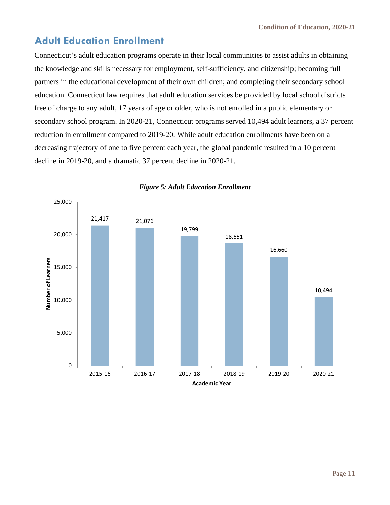### <span id="page-14-0"></span>**Adult Education Enrollment**

Connecticut's adult education programs operate in their local communities to assist adults in obtaining the knowledge and skills necessary for employment, self-sufficiency, and citizenship; becoming full partners in the educational development of their own children; and completing their secondary school education. Connecticut law requires that adult education services be provided by local school districts free of charge to any adult, 17 years of age or older, who is not enrolled in a public elementary or secondary school program. In 2020-21, Connecticut programs served 10,494 adult learners, a 37 percent reduction in enrollment compared to 2019-20. While adult education enrollments have been on a decreasing trajectory of one to five percent each year, the global pandemic resulted in a 10 percent decline in 2019-20, and a dramatic 37 percent decline in 2020-21.



#### *Figure 5: Adult Education Enrollment*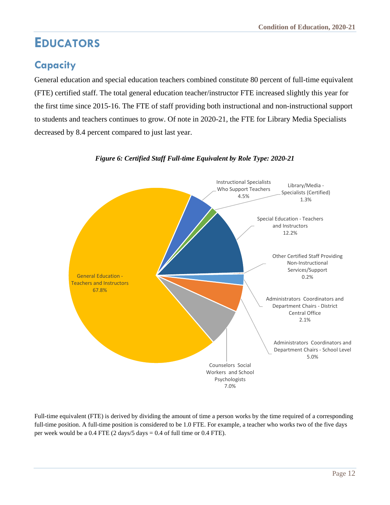## <span id="page-15-0"></span>**EDUCATORS**

## <span id="page-15-1"></span>**Capacity**

General education and special education teachers combined constitute 80 percent of full-time equivalent (FTE) certified staff. The total general education teacher/instructor FTE increased slightly this year for the first time since 2015-16. The FTE of staff providing both instructional and non-instructional support to students and teachers continues to grow. Of note in 2020-21, the FTE for Library Media Specialists decreased by 8.4 percent compared to just last year.



*Figure 6: Certified Staff Full-time Equivalent by Role Type: 2020-21*

Full-time equivalent (FTE) is derived by dividing the amount of time a person works by the time required of a corresponding full-time position. A full-time position is considered to be 1.0 FTE. For example, a teacher who works two of the five days per week would be a  $0.4$  FTE (2 days/5 days =  $0.4$  of full time or  $0.4$  FTE).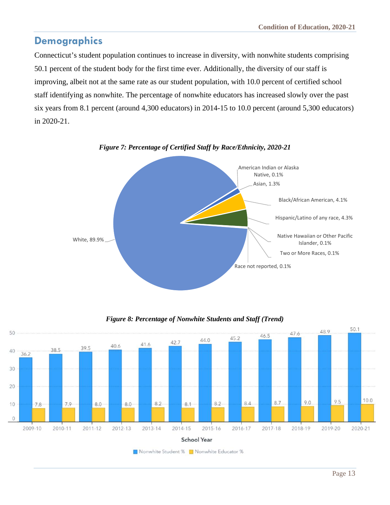#### <span id="page-16-0"></span>**Demographics**

Connecticut's student population continues to increase in diversity, with nonwhite students comprising 50.1 percent of the student body for the first time ever. Additionally, the diversity of our staff is improving, albeit not at the same rate as our student population, with 10.0 percent of certified school staff identifying as nonwhite. The percentage of nonwhite educators has increased slowly over the past six years from 8.1 percent (around 4,300 educators) in 2014-15 to 10.0 percent (around 5,300 educators) in 2020-21.





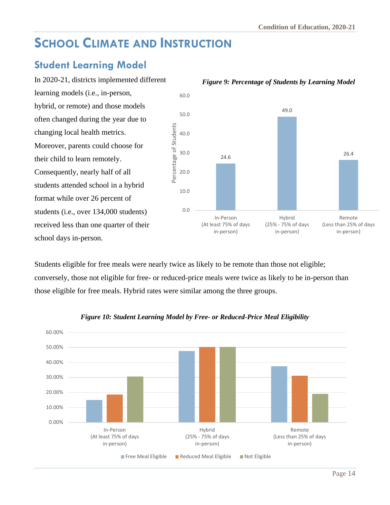## <span id="page-17-0"></span>**SCHOOL CLIMATE AND INSTRUCTION**

#### <span id="page-17-1"></span>**Student Learning Model**

In 2020-21, districts implemented different learning models (i.e., in-person, hybrid, or remote) and those models often changed during the year due to changing local health metrics. Moreover, parents could choose for their child to learn remotely. Consequently, nearly half of all students attended school in a hybrid format while over 26 percent of students (i.e., over 134,000 students) received less than one quarter of their school days in-person.



*Figure 9: Percentage of Students by Learning Model*

Students eligible for free meals were nearly twice as likely to be remote than those not eligible; conversely, those not eligible for free- or reduced-price meals were twice as likely to be in-person than those eligible for free meals. Hybrid rates were similar among the three groups.



#### *Figure 10: Student Learning Model by Free- or Reduced-Price Meal Eligibility*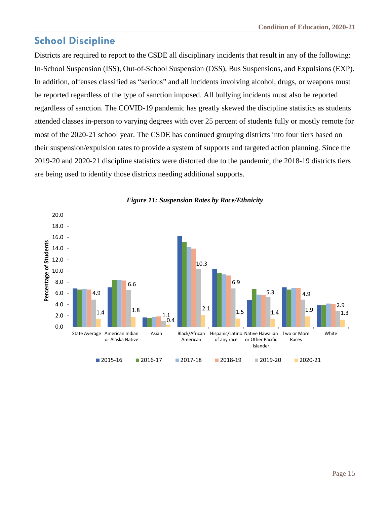## <span id="page-18-0"></span>**School Discipline**

Districts are required to report to the CSDE all disciplinary incidents that result in any of the following: In-School Suspension (ISS), Out-of-School Suspension (OSS), Bus Suspensions, and Expulsions (EXP). In addition, offenses classified as "serious" and all incidents involving alcohol, drugs, or weapons must be reported regardless of the type of sanction imposed. All bullying incidents must also be reported regardless of sanction. The COVID-19 pandemic has greatly skewed the discipline statistics as students attended classes in-person to varying degrees with over 25 percent of students fully or mostly remote for most of the 2020-21 school year. The CSDE has continued grouping districts into four tiers based on their suspension/expulsion rates to provide a system of supports and targeted action planning. Since the 2019-20 and 2020-21 discipline statistics were distorted due to the pandemic, the 2018-19 districts tiers are being used to identify those districts needing additional supports.



*Figure 11: Suspension Rates by Race/Ethnicity*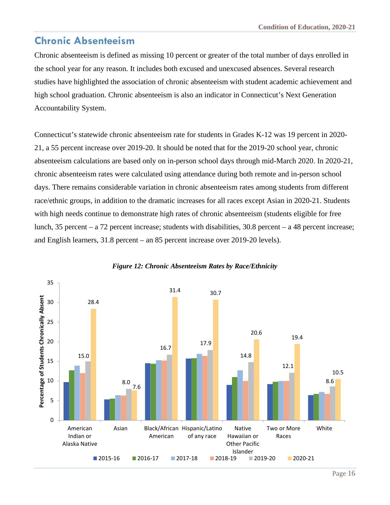#### <span id="page-19-0"></span>**Chronic Absenteeism**

Chronic absenteeism is defined as missing 10 percent or greater of the total number of days enrolled in the school year for any reason. It includes both excused and unexcused absences. Several research studies have highlighted the association of chronic absenteeism with student academic achievement and high school graduation. Chronic absenteeism is also an indicator in Connecticut's Next Generation Accountability System.

Connecticut's statewide chronic absenteeism rate for students in Grades K-12 was 19 percent in 2020- 21, a 55 percent increase over 2019-20. It should be noted that for the 2019-20 school year, chronic absenteeism calculations are based only on in-person school days through mid-March 2020. In 2020-21, chronic absenteeism rates were calculated using attendance during both remote and in-person school days. There remains considerable variation in chronic absenteeism rates among students from different race/ethnic groups, in addition to the dramatic increases for all races except Asian in 2020-21. Students with high needs continue to demonstrate high rates of chronic absenteeism (students eligible for free lunch, 35 percent – a 72 percent increase; students with disabilities, 30.8 percent – a 48 percent increase; and English learners, 31.8 percent – an 85 percent increase over 2019-20 levels).



#### *Figure 12: Chronic Absenteeism Rates by Race/Ethnicity*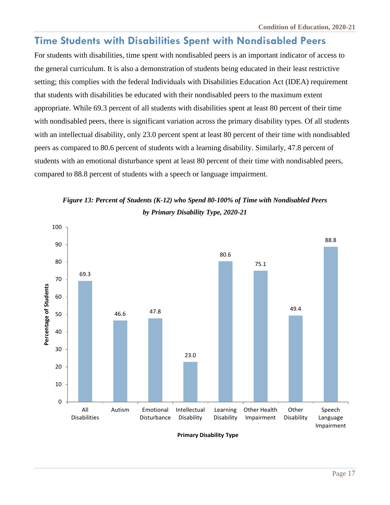#### <span id="page-20-0"></span>**Time Students with Disabilities Spent with Nondisabled Peers**

For students with disabilities, time spent with nondisabled peers is an important indicator of access to the general curriculum. It is also a demonstration of students being educated in their least restrictive setting; this complies with the federal Individuals with Disabilities Education Act (IDEA) requirement that students with disabilities be educated with their nondisabled peers to the maximum extent appropriate. While 69.3 percent of all students with disabilities spent at least 80 percent of their time with nondisabled peers, there is significant variation across the primary disability types. Of all students with an intellectual disability, only 23.0 percent spent at least 80 percent of their time with nondisabled peers as compared to 80.6 percent of students with a learning disability. Similarly, 47.8 percent of students with an emotional disturbance spent at least 80 percent of their time with nondisabled peers, compared to 88.8 percent of students with a speech or language impairment.





**Primary Disability Type**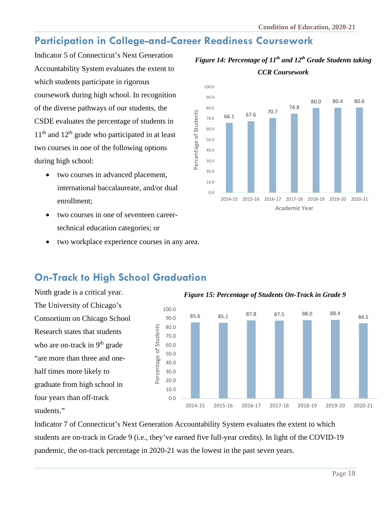## <span id="page-21-0"></span>**Participation in College-and-Career Readiness Coursework**

Indicator 5 of Connecticut's Next Generation Accountability System evaluates the extent to which students participate in rigorous coursework during high school. In recognition of the diverse pathways of our students, the CSDE evaluates the percentage of students in  $11<sup>th</sup>$  and  $12<sup>th</sup>$  grade who participated in at least two courses in one of the following options during high school:

- two courses in advanced placement, international baccalaureate, and/or dual enrollment;
- two courses in one of seventeen careertechnical education categories; or
- two workplace experience courses in any area.



#### *Figure 14: Percentage of 11th and 12th Grade Students taking CCR Coursework*

## <span id="page-21-1"></span>**On-Track to High School Graduation**

Ninth grade is a critical year. The University of Chicago's Consortium on Chicago School Research states that students who are on-track in  $9<sup>th</sup>$  grade "are more than three and onehalf times more likely to graduate from high school in four years than off-track students."



Indicator 7 of Connecticut's Next Generation Accountability System evaluates the extent to which students are on-track in Grade 9 (i.e., they've earned five full-year credits). In light of the COVID-19 pandemic, the on-track percentage in 2020-21 was the lowest in the past seven years.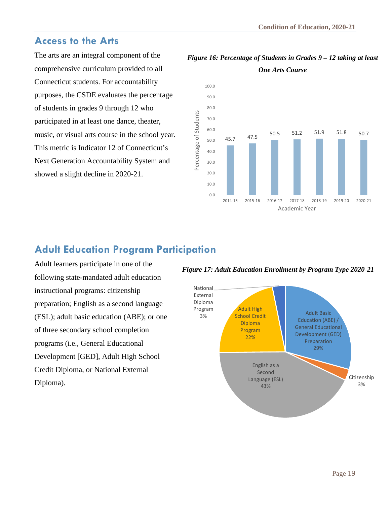#### <span id="page-22-0"></span>**Access to the Arts**

The arts are an integral component of the comprehensive curriculum provided to all Connecticut students. For accountability purposes, the CSDE evaluates the percentage of students in grades 9 through 12 who participated in at least one dance, theater, music, or visual arts course in the school year. This metric is Indicator 12 of Connecticut's Next Generation Accountability System and showed a slight decline in 2020-21.

#### *Figure 16: Percentage of Students in Grades 9 – 12 taking at least One Arts Course*



## <span id="page-22-1"></span>**Adult Education Program Participation**

Adult learners participate in one of the following state-mandated adult education instructional programs: citizenship preparation; English as a second language (ESL); adult basic education (ABE); or one of three secondary school completion programs (i.e., General Educational Development [GED], Adult High School Credit Diploma, or National External Diploma).

*Figure 17: Adult Education Enrollment by Program Type 2020-21*

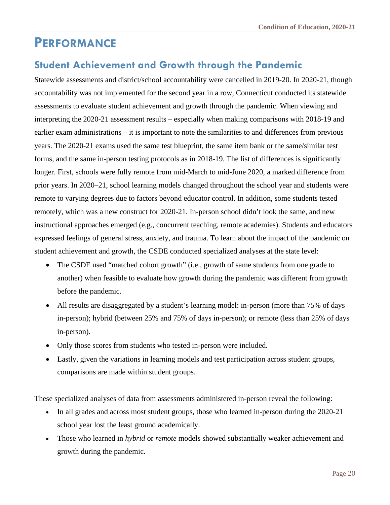## <span id="page-23-0"></span>**PERFORMANCE**

#### <span id="page-23-1"></span>**Student Achievement and Growth through the Pandemic**

Statewide assessments and district/school accountability were cancelled in 2019-20. In 2020-21, though accountability was not implemented for the second year in a row, Connecticut conducted its statewide assessments to evaluate student achievement and growth through the pandemic. When viewing and interpreting the 2020-21 assessment results – especially when making comparisons with 2018-19 and earlier exam administrations – it is important to note the similarities to and differences from previous years. The 2020-21 exams used the same test blueprint, the same item bank or the same/similar test forms, and the same in-person testing protocols as in 2018-19. The list of differences is significantly longer. First, schools were fully remote from mid-March to mid-June 2020, a marked difference from prior years. In 2020–21, school learning models changed throughout the school year and students were remote to varying degrees due to factors beyond educator control. In addition, some students tested remotely, which was a new construct for 2020-21. In-person school didn't look the same, and new instructional approaches emerged (e.g., concurrent teaching, remote academies). Students and educators expressed feelings of general stress, anxiety, and trauma. To learn about the impact of the pandemic on student achievement and growth, the CSDE conducted specialized analyses at the state level:

- The CSDE used "matched cohort growth" (i.e., growth of same students from one grade to another) when feasible to evaluate how growth during the pandemic was different from growth before the pandemic.
- All results are disaggregated by a student's learning model: in-person (more than 75% of days in-person); hybrid (between 25% and 75% of days in-person); or remote (less than 25% of days in-person).
- Only those scores from students who tested in-person were included.
- Lastly, given the variations in learning models and test participation across student groups, comparisons are made within student groups.

These specialized analyses of data from assessments administered in-person reveal the following:

- In all grades and across most student groups, those who learned in-person during the 2020-21 school year lost the least ground academically.
- Those who learned in *hybrid* or *remote* models showed substantially weaker achievement and growth during the pandemic.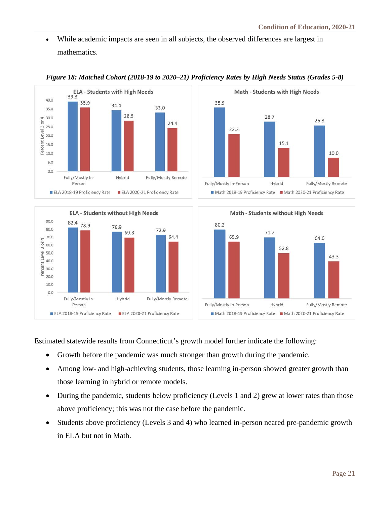• While academic impacts are seen in all subjects, the observed differences are largest in mathematics.



#### **ELA - Students without High Needs** 90.0  $82.4$  78.9 76.9 80.0 72.9 69.8 70.0 64.4 4 Percent Level 3 or 60.0 50.0 40.0  $30.0$ 20.0 10.0  $0.0$ Fully/Mostly In-Hybrid Fully/Mostly Remote Person ELA 2018-19 Proficiency Rate ELA 2020-21 Proficiency Rate





Estimated statewide results from Connecticut's growth model further indicate the following:

- Growth before the pandemic was much stronger than growth during the pandemic.
- Among low- and high-achieving students, those learning in-person showed greater growth than those learning in hybrid or remote models.
- During the pandemic, students below proficiency (Levels 1 and 2) grew at lower rates than those above proficiency; this was not the case before the pandemic.
- Students above proficiency (Levels 3 and 4) who learned in-person neared pre-pandemic growth in ELA but not in Math.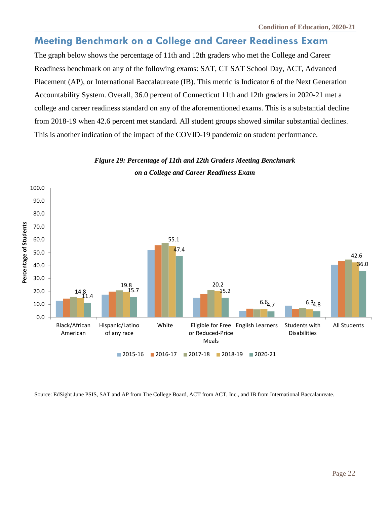### <span id="page-25-0"></span>**Meeting Benchmark on a College and Career Readiness Exam**

The graph below shows the percentage of 11th and 12th graders who met the College and Career Readiness benchmark on any of the following exams: SAT, CT SAT School Day, ACT, Advanced Placement (AP), or International Baccalaureate (IB). This metric is Indicator 6 of the Next Generation Accountability System. Overall, 36.0 percent of Connecticut 11th and 12th graders in 2020-21 met a college and career readiness standard on any of the aforementioned exams. This is a substantial decline from 2018-19 when 42.6 percent met standard. All student groups showed similar substantial declines. This is another indication of the impact of the COVID-19 pandemic on student performance.

#### *Figure 19: Percentage of 11th and 12th Graders Meeting Benchmark on a College and Career Readiness Exam*



Source: EdSight June PSIS, SAT and AP from The College Board, ACT from ACT, Inc., and IB from International Baccalaureate.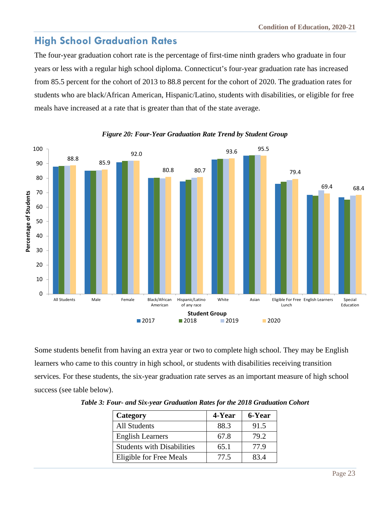## <span id="page-26-0"></span>**High School Graduation Rates**

The four-year graduation cohort rate is the percentage of first-time ninth graders who graduate in four years or less with a regular high school diploma. Connecticut's four-year graduation rate has increased from 85.5 percent for the cohort of 2013 to 88.8 percent for the cohort of 2020. The graduation rates for students who are black/African American, Hispanic/Latino, students with disabilities, or eligible for free meals have increased at a rate that is greater than that of the state average.



#### *Figure 20: Four-Year Graduation Rate Trend by Student Group*

Some students benefit from having an extra year or two to complete high school. They may be English learners who came to this country in high school, or students with disabilities receiving transition services. For these students, the six-year graduation rate serves as an important measure of high school success (see table below).

| Category                          | 4-Year | 6-Year |
|-----------------------------------|--------|--------|
| <b>All Students</b>               | 88.3   | 91.5   |
| <b>English Learners</b>           | 67.8   | 79.2   |
| <b>Students with Disabilities</b> | 65.1   | 77.9   |
| Eligible for Free Meals           | 77.5   | 83.4   |

*Table 3: Four- and Six-year Graduation Rates for the 2018 Graduation Cohort*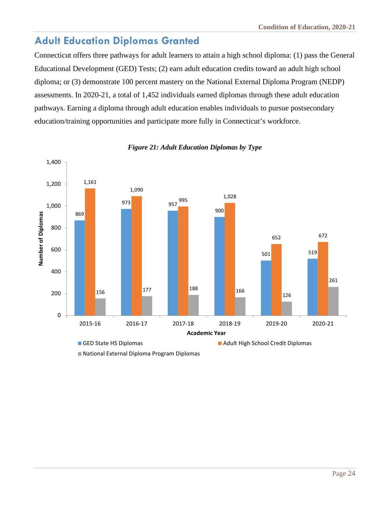### <span id="page-27-0"></span>**Adult Education Diplomas Granted**

Connecticut offers three pathways for adult learners to attain a high school diploma: (1) pass the General Educational Development (GED) Tests; (2) earn adult education credits toward an adult high school diploma; or (3) demonstrate 100 percent mastery on the National External Diploma Program (NEDP) assessments. In 2020-21, a total of 1,452 individuals earned diplomas through these adult education pathways. Earning a diploma through adult education enables individuals to pursue postsecondary education/training opportunities and participate more fully in Connecticut's workforce.



#### *Figure 21: Adult Education Diplomas by Type*

National External Diploma Program Diplomas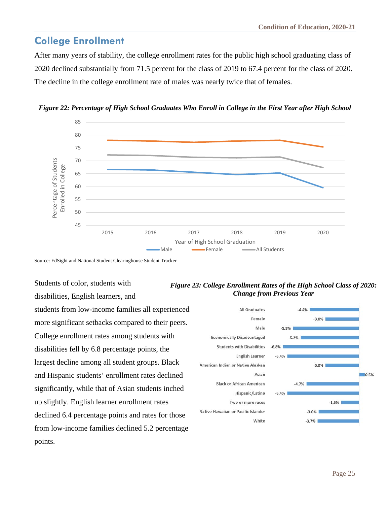#### <span id="page-28-0"></span>**College Enrollment**

After many years of stability, the college enrollment rates for the public high school graduating class of 2020 declined substantially from 71.5 percent for the class of 2019 to 67.4 percent for the class of 2020. The decline in the college enrollment rate of males was nearly twice that of females.



*Figure 22: Percentage of High School Graduates Who Enroll in College in the First Year after High School*

Source: EdSight and National Student Clearinghouse Student Tracker

Students of color, students with disabilities, English learners, and students from low-income families all experienced more significant setbacks compared to their peers. College enrollment rates among students with disabilities fell by 6.8 percentage points, the largest decline among all student groups. Black and Hispanic students' enrollment rates declined significantly, while that of Asian students inched up slightly. English learner enrollment rates declined 6.4 percentage points and rates for those from low-income families declined 5.2 percentage points.



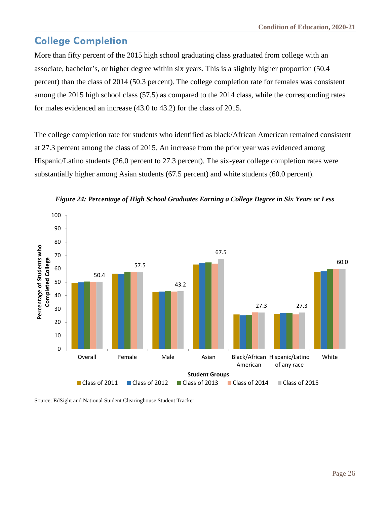## <span id="page-29-0"></span>**College Completion**

More than fifty percent of the 2015 high school graduating class graduated from college with an associate, bachelor's, or higher degree within six years. This is a slightly higher proportion (50.4 percent) than the class of 2014 (50.3 percent). The college completion rate for females was consistent among the 2015 high school class (57.5) as compared to the 2014 class, while the corresponding rates for males evidenced an increase (43.0 to 43.2) for the class of 2015.

The college completion rate for students who identified as black/African American remained consistent at 27.3 percent among the class of 2015. An increase from the prior year was evidenced among Hispanic/Latino students (26.0 percent to 27.3 percent). The six-year college completion rates were substantially higher among Asian students (67.5 percent) and white students (60.0 percent).





Source: EdSight and National Student Clearinghouse Student Tracker